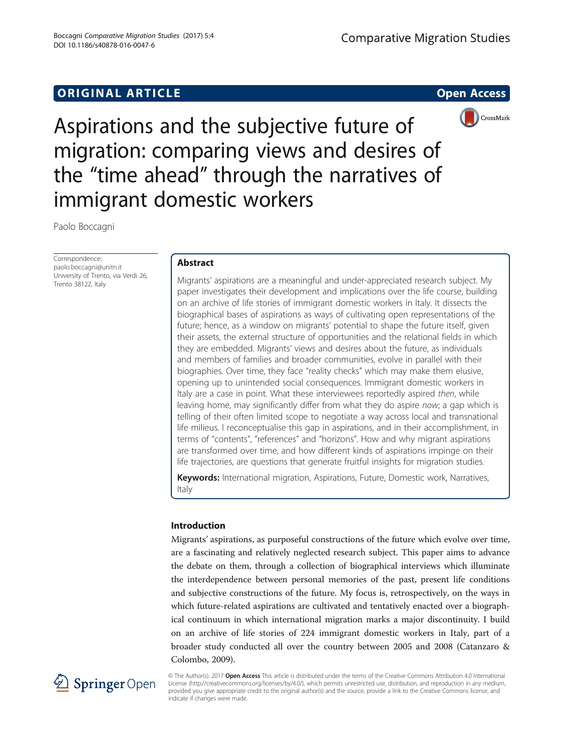# **ORIGINAL ARTICLE CONSUMING A LIGACION** CONSUMING A LIGACION CONSUMING A LIGACION CONSUMING A LIGACION CONSUMING A LIGACION CONSUMING A LIGACION CONSUMING A LIGACION CONSUMING A LIGACION CONSUMING A LIGACION CONSUMING A



Aspirations and the subjective future of migration: comparing views and desires of the "time ahead" through the narratives of immigrant domestic workers

Paolo Boccagni

Correspondence [paolo.boccagni@unitn.it](mailto:paolo.boccagni@unitn.it) University of Trento, via Verdi 26, Trento 38122, Italy

# Abstract

Migrants' aspirations are a meaningful and under-appreciated research subject. My paper investigates their development and implications over the life course, building on an archive of life stories of immigrant domestic workers in Italy. It dissects the biographical bases of aspirations as ways of cultivating open representations of the future; hence, as a window on migrants' potential to shape the future itself, given their assets, the external structure of opportunities and the relational fields in which they are embedded. Migrants' views and desires about the future, as individuals and members of families and broader communities, evolve in parallel with their biographies. Over time, they face "reality checks" which may make them elusive, opening up to unintended social consequences. Immigrant domestic workers in Italy are a case in point. What these interviewees reportedly aspired then, while leaving home, may significantly differ from what they do aspire now; a gap which is telling of their often limited scope to negotiate a way across local and transnational life milieus. I reconceptualise this gap in aspirations, and in their accomplishment, in terms of "contents", "references" and "horizons". How and why migrant aspirations are transformed over time, and how different kinds of aspirations impinge on their life trajectories, are questions that generate fruitful insights for migration studies.

Keywords: International migration, Aspirations, Future, Domestic work, Narratives, Italy

# Introduction

Migrants' aspirations, as purposeful constructions of the future which evolve over time, are a fascinating and relatively neglected research subject. This paper aims to advance the debate on them, through a collection of biographical interviews which illuminate the interdependence between personal memories of the past, present life conditions and subjective constructions of the future. My focus is, retrospectively, on the ways in which future-related aspirations are cultivated and tentatively enacted over a biographical continuum in which international migration marks a major discontinuity. I build on an archive of life stories of 224 immigrant domestic workers in Italy, part of a broader study conducted all over the country between 2005 and 2008 (Catanzaro & Colombo, [2009](#page-16-0)).



© The Author(s). 2017 Open Access This article is distributed under the terms of the Creative Commons Attribution 4.0 International License [\(http://creativecommons.org/licenses/by/4.0/](http://creativecommons.org/licenses/by/4.0/)), which permits unrestricted use, distribution, and reproduction in any medium, provided you give appropriate credit to the original author(s) and the source, provide a link to the Creative Commons license, and indicate if changes were made.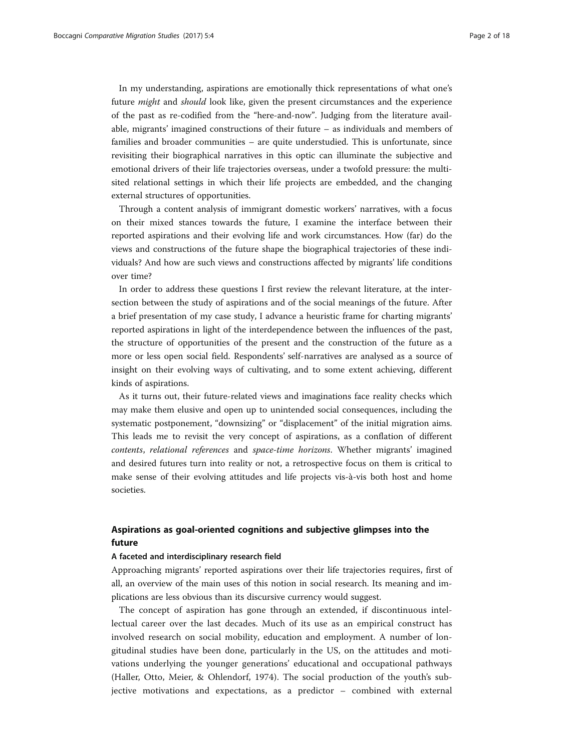In my understanding, aspirations are emotionally thick representations of what one's future *might* and *should* look like, given the present circumstances and the experience of the past as re-codified from the "here-and-now". Judging from the literature available, migrants' imagined constructions of their future – as individuals and members of families and broader communities – are quite understudied. This is unfortunate, since revisiting their biographical narratives in this optic can illuminate the subjective and emotional drivers of their life trajectories overseas, under a twofold pressure: the multisited relational settings in which their life projects are embedded, and the changing external structures of opportunities.

Through a content analysis of immigrant domestic workers' narratives, with a focus on their mixed stances towards the future, I examine the interface between their reported aspirations and their evolving life and work circumstances. How (far) do the views and constructions of the future shape the biographical trajectories of these individuals? And how are such views and constructions affected by migrants' life conditions over time?

In order to address these questions I first review the relevant literature, at the intersection between the study of aspirations and of the social meanings of the future. After a brief presentation of my case study, I advance a heuristic frame for charting migrants' reported aspirations in light of the interdependence between the influences of the past, the structure of opportunities of the present and the construction of the future as a more or less open social field. Respondents' self-narratives are analysed as a source of insight on their evolving ways of cultivating, and to some extent achieving, different kinds of aspirations.

As it turns out, their future-related views and imaginations face reality checks which may make them elusive and open up to unintended social consequences, including the systematic postponement, "downsizing" or "displacement" of the initial migration aims. This leads me to revisit the very concept of aspirations, as a conflation of different contents, relational references and space-time horizons. Whether migrants' imagined and desired futures turn into reality or not, a retrospective focus on them is critical to make sense of their evolving attitudes and life projects vis-à-vis both host and home societies.

# Aspirations as goal-oriented cognitions and subjective glimpses into the future

#### A faceted and interdisciplinary research field

Approaching migrants' reported aspirations over their life trajectories requires, first of all, an overview of the main uses of this notion in social research. Its meaning and implications are less obvious than its discursive currency would suggest.

The concept of aspiration has gone through an extended, if discontinuous intellectual career over the last decades. Much of its use as an empirical construct has involved research on social mobility, education and employment. A number of longitudinal studies have been done, particularly in the US, on the attitudes and motivations underlying the younger generations' educational and occupational pathways (Haller, Otto, Meier, & Ohlendorf, [1974](#page-16-0)). The social production of the youth's subjective motivations and expectations, as a predictor – combined with external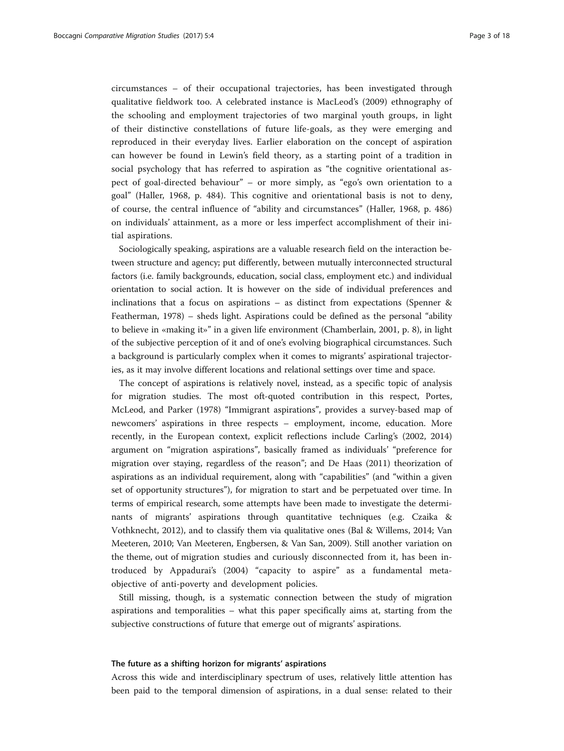circumstances – of their occupational trajectories, has been investigated through qualitative fieldwork too. A celebrated instance is MacLeod's ([2009](#page-16-0)) ethnography of the schooling and employment trajectories of two marginal youth groups, in light of their distinctive constellations of future life-goals, as they were emerging and reproduced in their everyday lives. Earlier elaboration on the concept of aspiration can however be found in Lewin's field theory, as a starting point of a tradition in social psychology that has referred to aspiration as "the cognitive orientational aspect of goal-directed behaviour" – or more simply, as "ego's own orientation to a goal" (Haller, [1968,](#page-16-0) p. 484). This cognitive and orientational basis is not to deny, of course, the central influence of "ability and circumstances" (Haller, [1968,](#page-16-0) p. 486) on individuals' attainment, as a more or less imperfect accomplishment of their initial aspirations.

Sociologically speaking, aspirations are a valuable research field on the interaction between structure and agency; put differently, between mutually interconnected structural factors (i.e. family backgrounds, education, social class, employment etc.) and individual orientation to social action. It is however on the side of individual preferences and inclinations that a focus on aspirations – as distinct from expectations (Spenner & Featherman, [1978\)](#page-17-0) – sheds light. Aspirations could be defined as the personal "ability to believe in «making it»" in a given life environment (Chamberlain, [2001,](#page-16-0) p. 8), in light of the subjective perception of it and of one's evolving biographical circumstances. Such a background is particularly complex when it comes to migrants' aspirational trajectories, as it may involve different locations and relational settings over time and space.

The concept of aspirations is relatively novel, instead, as a specific topic of analysis for migration studies. The most oft-quoted contribution in this respect, Portes, McLeod, and Parker ([1978](#page-17-0)) "Immigrant aspirations", provides a survey-based map of newcomers' aspirations in three respects – employment, income, education. More recently, in the European context, explicit reflections include Carling's [\(2002, 2014](#page-16-0)) argument on "migration aspirations", basically framed as individuals' "preference for migration over staying, regardless of the reason"; and De Haas ([2011](#page-16-0)) theorization of aspirations as an individual requirement, along with "capabilities" (and "within a given set of opportunity structures"), for migration to start and be perpetuated over time. In terms of empirical research, some attempts have been made to investigate the determinants of migrants' aspirations through quantitative techniques (e.g. Czaika & Vothknecht, [2012\)](#page-16-0), and to classify them via qualitative ones (Bal & Willems, [2014](#page-16-0); Van Meeteren, [2010](#page-17-0); Van Meeteren, Engbersen, & Van San, [2009](#page-17-0)). Still another variation on the theme, out of migration studies and curiously disconnected from it, has been introduced by Appadurai's [\(2004](#page-16-0)) "capacity to aspire" as a fundamental metaobjective of anti-poverty and development policies.

Still missing, though, is a systematic connection between the study of migration aspirations and temporalities – what this paper specifically aims at, starting from the subjective constructions of future that emerge out of migrants' aspirations.

#### The future as a shifting horizon for migrants' aspirations

Across this wide and interdisciplinary spectrum of uses, relatively little attention has been paid to the temporal dimension of aspirations, in a dual sense: related to their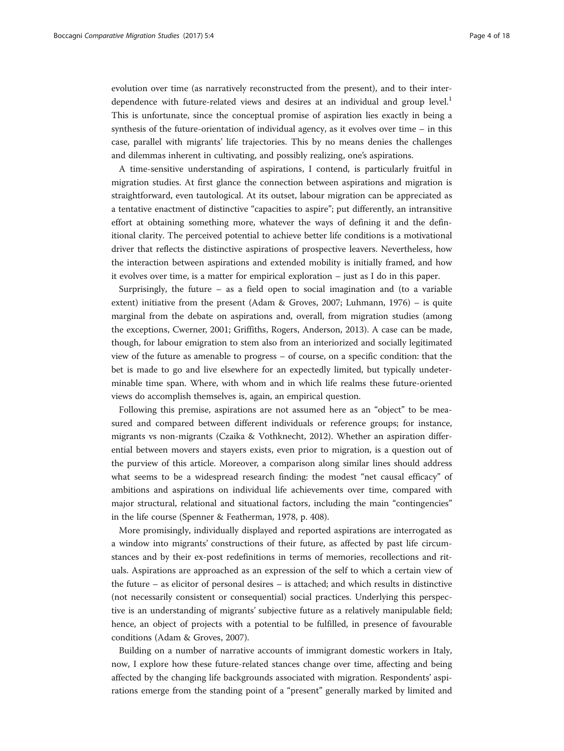evolution over time (as narratively reconstructed from the present), and to their interdependence with future-related views and desires at an individual and group level. $<sup>1</sup>$ </sup> This is unfortunate, since the conceptual promise of aspiration lies exactly in being a synthesis of the future-orientation of individual agency, as it evolves over time – in this case, parallel with migrants' life trajectories. This by no means denies the challenges and dilemmas inherent in cultivating, and possibly realizing, one's aspirations.

A time-sensitive understanding of aspirations, I contend, is particularly fruitful in migration studies. At first glance the connection between aspirations and migration is straightforward, even tautological. At its outset, labour migration can be appreciated as a tentative enactment of distinctive "capacities to aspire"; put differently, an intransitive effort at obtaining something more, whatever the ways of defining it and the definitional clarity. The perceived potential to achieve better life conditions is a motivational driver that reflects the distinctive aspirations of prospective leavers. Nevertheless, how the interaction between aspirations and extended mobility is initially framed, and how it evolves over time, is a matter for empirical exploration – just as I do in this paper.

Surprisingly, the future  $-$  as a field open to social imagination and (to a variable extent) initiative from the present (Adam & Groves, [2007;](#page-16-0) Luhmann, [1976](#page-16-0)) – is quite marginal from the debate on aspirations and, overall, from migration studies (among the exceptions, Cwerner, [2001;](#page-16-0) Griffiths, Rogers, Anderson, [2013\)](#page-16-0). A case can be made, though, for labour emigration to stem also from an interiorized and socially legitimated view of the future as amenable to progress – of course, on a specific condition: that the bet is made to go and live elsewhere for an expectedly limited, but typically undeterminable time span. Where, with whom and in which life realms these future-oriented views do accomplish themselves is, again, an empirical question.

Following this premise, aspirations are not assumed here as an "object" to be measured and compared between different individuals or reference groups; for instance, migrants vs non-migrants (Czaika & Vothknecht, [2012\)](#page-16-0). Whether an aspiration differential between movers and stayers exists, even prior to migration, is a question out of the purview of this article. Moreover, a comparison along similar lines should address what seems to be a widespread research finding: the modest "net causal efficacy" of ambitions and aspirations on individual life achievements over time, compared with major structural, relational and situational factors, including the main "contingencies" in the life course (Spenner & Featherman, [1978](#page-17-0), p. 408).

More promisingly, individually displayed and reported aspirations are interrogated as a window into migrants' constructions of their future, as affected by past life circumstances and by their ex-post redefinitions in terms of memories, recollections and rituals. Aspirations are approached as an expression of the self to which a certain view of the future – as elicitor of personal desires – is attached; and which results in distinctive (not necessarily consistent or consequential) social practices. Underlying this perspective is an understanding of migrants' subjective future as a relatively manipulable field; hence, an object of projects with a potential to be fulfilled, in presence of favourable conditions (Adam & Groves, [2007\)](#page-16-0).

Building on a number of narrative accounts of immigrant domestic workers in Italy, now, I explore how these future-related stances change over time, affecting and being affected by the changing life backgrounds associated with migration. Respondents' aspirations emerge from the standing point of a "present" generally marked by limited and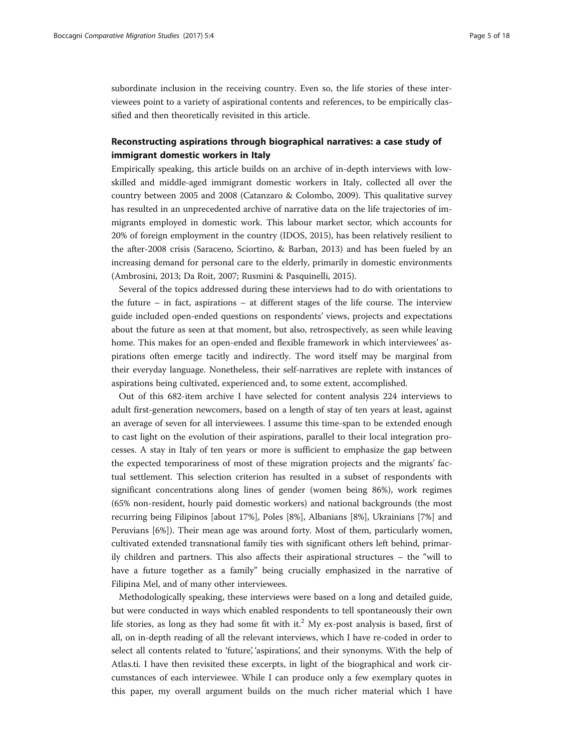subordinate inclusion in the receiving country. Even so, the life stories of these interviewees point to a variety of aspirational contents and references, to be empirically classified and then theoretically revisited in this article.

# Reconstructing aspirations through biographical narratives: a case study of immigrant domestic workers in Italy

Empirically speaking, this article builds on an archive of in-depth interviews with lowskilled and middle-aged immigrant domestic workers in Italy, collected all over the country between 2005 and 2008 (Catanzaro & Colombo, [2009\)](#page-16-0). This qualitative survey has resulted in an unprecedented archive of narrative data on the life trajectories of immigrants employed in domestic work. This labour market sector, which accounts for 20% of foreign employment in the country (IDOS, [2015\)](#page-16-0), has been relatively resilient to the after-2008 crisis (Saraceno, Sciortino, & Barban, [2013](#page-17-0)) and has been fueled by an increasing demand for personal care to the elderly, primarily in domestic environments (Ambrosini, [2013;](#page-16-0) Da Roit, [2007](#page-16-0); Rusmini & Pasquinelli, [2015](#page-17-0)).

Several of the topics addressed during these interviews had to do with orientations to the future – in fact, aspirations – at different stages of the life course. The interview guide included open-ended questions on respondents' views, projects and expectations about the future as seen at that moment, but also, retrospectively, as seen while leaving home. This makes for an open-ended and flexible framework in which interviewees' aspirations often emerge tacitly and indirectly. The word itself may be marginal from their everyday language. Nonetheless, their self-narratives are replete with instances of aspirations being cultivated, experienced and, to some extent, accomplished.

Out of this 682-item archive I have selected for content analysis 224 interviews to adult first-generation newcomers, based on a length of stay of ten years at least, against an average of seven for all interviewees. I assume this time-span to be extended enough to cast light on the evolution of their aspirations, parallel to their local integration processes. A stay in Italy of ten years or more is sufficient to emphasize the gap between the expected temporariness of most of these migration projects and the migrants' factual settlement. This selection criterion has resulted in a subset of respondents with significant concentrations along lines of gender (women being 86%), work regimes (65% non-resident, hourly paid domestic workers) and national backgrounds (the most recurring being Filipinos [about 17%], Poles [8%], Albanians [8%], Ukrainians [7%] and Peruvians [6%]). Their mean age was around forty. Most of them, particularly women, cultivated extended transnational family ties with significant others left behind, primarily children and partners. This also affects their aspirational structures – the "will to have a future together as a family" being crucially emphasized in the narrative of Filipina Mel, and of many other interviewees.

Methodologically speaking, these interviews were based on a long and detailed guide, but were conducted in ways which enabled respondents to tell spontaneously their own life stories, as long as they had some fit with it.<sup>2</sup> My ex-post analysis is based, first of all, on in-depth reading of all the relevant interviews, which I have re-coded in order to select all contents related to 'future', 'aspirations', and their synonyms. With the help of Atlas.ti. I have then revisited these excerpts, in light of the biographical and work circumstances of each interviewee. While I can produce only a few exemplary quotes in this paper, my overall argument builds on the much richer material which I have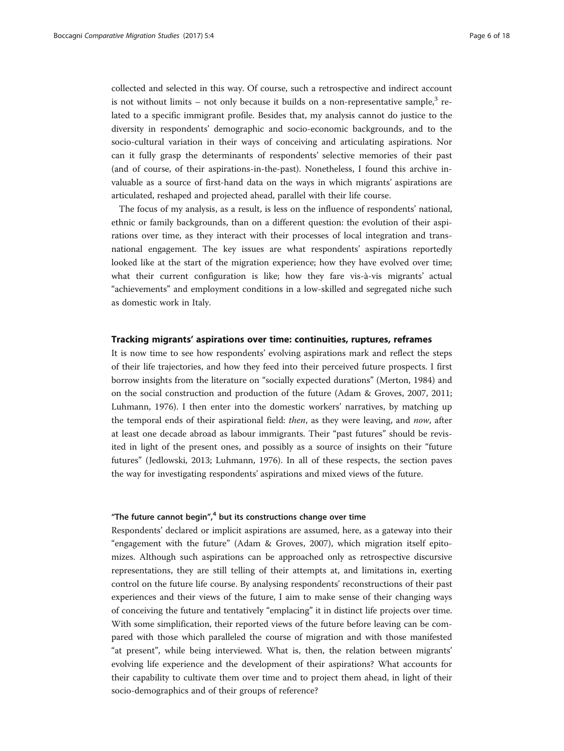collected and selected in this way. Of course, such a retrospective and indirect account is not without limits – not only because it builds on a non-representative sample, $3$  related to a specific immigrant profile. Besides that, my analysis cannot do justice to the diversity in respondents' demographic and socio-economic backgrounds, and to the socio-cultural variation in their ways of conceiving and articulating aspirations. Nor can it fully grasp the determinants of respondents' selective memories of their past (and of course, of their aspirations-in-the-past). Nonetheless, I found this archive invaluable as a source of first-hand data on the ways in which migrants' aspirations are articulated, reshaped and projected ahead, parallel with their life course.

The focus of my analysis, as a result, is less on the influence of respondents' national, ethnic or family backgrounds, than on a different question: the evolution of their aspirations over time, as they interact with their processes of local integration and transnational engagement. The key issues are what respondents' aspirations reportedly looked like at the start of the migration experience; how they have evolved over time; what their current configuration is like; how they fare vis-à-vis migrants' actual "achievements" and employment conditions in a low-skilled and segregated niche such as domestic work in Italy.

### Tracking migrants' aspirations over time: continuities, ruptures, reframes

It is now time to see how respondents' evolving aspirations mark and reflect the steps of their life trajectories, and how they feed into their perceived future prospects. I first borrow insights from the literature on "socially expected durations" (Merton, [1984](#page-17-0)) and on the social construction and production of the future (Adam & Groves, [2007](#page-16-0), [2011](#page-16-0); Luhmann, [1976](#page-16-0)). I then enter into the domestic workers' narratives, by matching up the temporal ends of their aspirational field: then, as they were leaving, and now, after at least one decade abroad as labour immigrants. Their "past futures" should be revisited in light of the present ones, and possibly as a source of insights on their "future futures" (Jedlowski, [2013;](#page-16-0) Luhmann, [1976](#page-16-0)). In all of these respects, the section paves the way for investigating respondents' aspirations and mixed views of the future.

### "The future cannot begin", <sup>4</sup> but its constructions change over time

Respondents' declared or implicit aspirations are assumed, here, as a gateway into their "engagement with the future" (Adam & Groves, [2007\)](#page-16-0), which migration itself epitomizes. Although such aspirations can be approached only as retrospective discursive representations, they are still telling of their attempts at, and limitations in, exerting control on the future life course. By analysing respondents' reconstructions of their past experiences and their views of the future, I aim to make sense of their changing ways of conceiving the future and tentatively "emplacing" it in distinct life projects over time. With some simplification, their reported views of the future before leaving can be compared with those which paralleled the course of migration and with those manifested "at present", while being interviewed. What is, then, the relation between migrants' evolving life experience and the development of their aspirations? What accounts for their capability to cultivate them over time and to project them ahead, in light of their socio-demographics and of their groups of reference?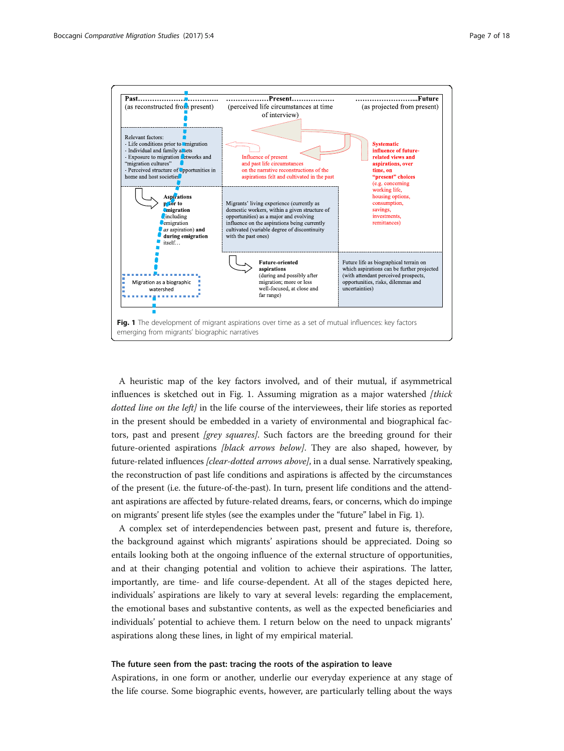

A heuristic map of the key factors involved, and of their mutual, if asymmetrical influences is sketched out in Fig. 1. Assuming migration as a major watershed  $|thick\rangle$ dotted line on the left] in the life course of the interviewees, their life stories as reported in the present should be embedded in a variety of environmental and biographical factors, past and present [grey squares]. Such factors are the breeding ground for their future-oriented aspirations [black arrows below]. They are also shaped, however, by future-related influences [clear-dotted arrows above], in a dual sense. Narratively speaking, the reconstruction of past life conditions and aspirations is affected by the circumstances of the present (i.e. the future-of-the-past). In turn, present life conditions and the attendant aspirations are affected by future-related dreams, fears, or concerns, which do impinge on migrants' present life styles (see the examples under the "future" label in Fig. 1).

A complex set of interdependencies between past, present and future is, therefore, the background against which migrants' aspirations should be appreciated. Doing so entails looking both at the ongoing influence of the external structure of opportunities, and at their changing potential and volition to achieve their aspirations. The latter, importantly, are time- and life course-dependent. At all of the stages depicted here, individuals' aspirations are likely to vary at several levels: regarding the emplacement, the emotional bases and substantive contents, as well as the expected beneficiaries and individuals' potential to achieve them. I return below on the need to unpack migrants' aspirations along these lines, in light of my empirical material.

### The future seen from the past: tracing the roots of the aspiration to leave

Aspirations, in one form or another, underlie our everyday experience at any stage of the life course. Some biographic events, however, are particularly telling about the ways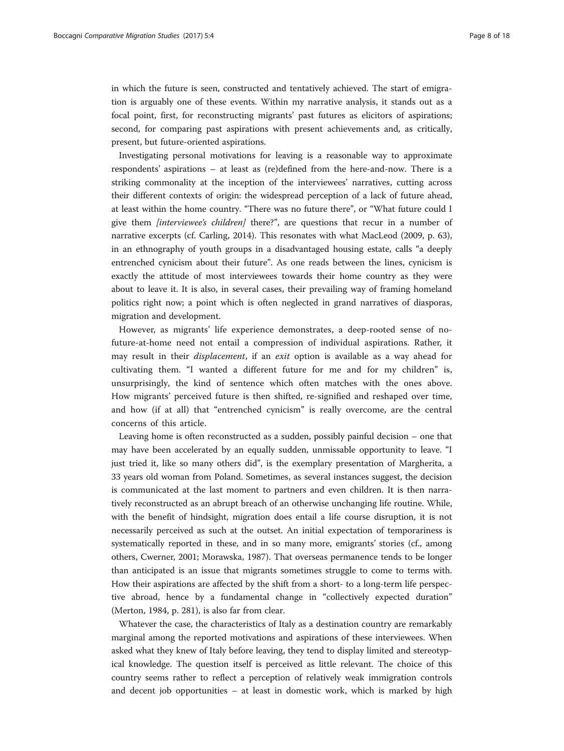in which the future is seen, constructed and tentatively achieved. The start of emigration is arguably one of these events. Within my narrative analysis, it stands out as a focal point, first, for reconstructing migrants' past futures as elicitors of aspirations; second, for comparing past aspirations with present achievements and, as critically, present, but future-oriented aspirations.

Investigating personal motivations for leaving is a reasonable way to approximate respondents' aspirations – at least as (re)defined from the here-and-now. There is a striking commonality at the inception of the interviewees' narratives, cutting across their different contexts of origin: the widespread perception of a lack of future ahead, at least within the home country. "There was no future there", or "What future could I give them *[interviewee's children]* there?", are questions that recur in a number of narrative excerpts (cf. Carling, [2014\)](#page-16-0). This resonates with what MacLeod ([2009](#page-16-0), p. 63), in an ethnography of youth groups in a disadvantaged housing estate, calls "a deeply entrenched cynicism about their future". As one reads between the lines, cynicism is exactly the attitude of most interviewees towards their home country as they were about to leave it. It is also, in several cases, their prevailing way of framing homeland politics right now; a point which is often neglected in grand narratives of diasporas, migration and development.

However, as migrants' life experience demonstrates, a deep-rooted sense of nofuture-at-home need not entail a compression of individual aspirations. Rather, it may result in their *displacement*, if an exit option is available as a way ahead for cultivating them. "I wanted a different future for me and for my children" is, unsurprisingly, the kind of sentence which often matches with the ones above. How migrants' perceived future is then shifted, re-signified and reshaped over time, and how (if at all) that "entrenched cynicism" is really overcome, are the central concerns of this article.

Leaving home is often reconstructed as a sudden, possibly painful decision – one that may have been accelerated by an equally sudden, unmissable opportunity to leave. "I just tried it, like so many others did", is the exemplary presentation of Margherita, a 33 years old woman from Poland. Sometimes, as several instances suggest, the decision is communicated at the last moment to partners and even children. It is then narratively reconstructed as an abrupt breach of an otherwise unchanging life routine. While, with the benefit of hindsight, migration does entail a life course disruption, it is not necessarily perceived as such at the outset. An initial expectation of temporariness is systematically reported in these, and in so many more, emigrants' stories (cf., among others, Cwerner, [2001;](#page-16-0) Morawska, [1987\)](#page-17-0). That overseas permanence tends to be longer than anticipated is an issue that migrants sometimes struggle to come to terms with. How their aspirations are affected by the shift from a short- to a long-term life perspective abroad, hence by a fundamental change in "collectively expected duration" (Merton, [1984](#page-17-0), p. 281), is also far from clear.

Whatever the case, the characteristics of Italy as a destination country are remarkably marginal among the reported motivations and aspirations of these interviewees. When asked what they knew of Italy before leaving, they tend to display limited and stereotypical knowledge. The question itself is perceived as little relevant. The choice of this country seems rather to reflect a perception of relatively weak immigration controls and decent job opportunities – at least in domestic work, which is marked by high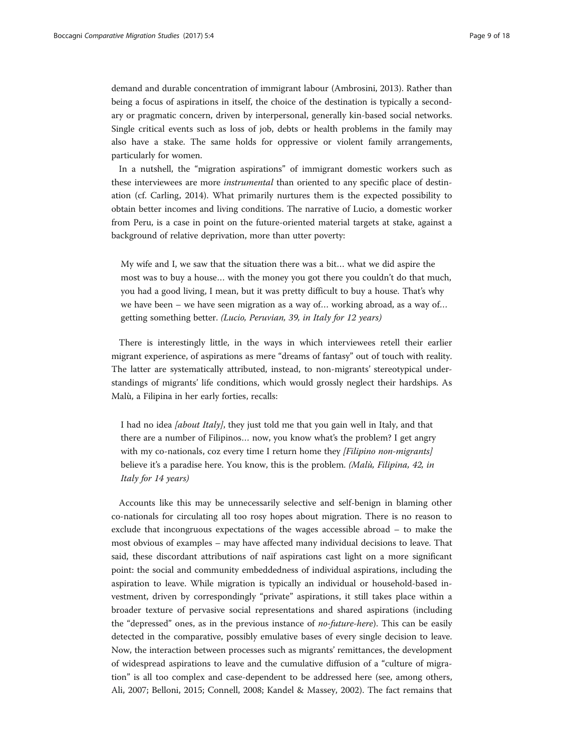demand and durable concentration of immigrant labour (Ambrosini, [2013](#page-16-0)). Rather than being a focus of aspirations in itself, the choice of the destination is typically a secondary or pragmatic concern, driven by interpersonal, generally kin-based social networks. Single critical events such as loss of job, debts or health problems in the family may also have a stake. The same holds for oppressive or violent family arrangements, particularly for women.

In a nutshell, the "migration aspirations" of immigrant domestic workers such as these interviewees are more instrumental than oriented to any specific place of destination (cf. Carling, [2014](#page-16-0)). What primarily nurtures them is the expected possibility to obtain better incomes and living conditions. The narrative of Lucio, a domestic worker from Peru, is a case in point on the future-oriented material targets at stake, against a background of relative deprivation, more than utter poverty:

My wife and I, we saw that the situation there was a bit… what we did aspire the most was to buy a house… with the money you got there you couldn't do that much, you had a good living, I mean, but it was pretty difficult to buy a house. That's why we have been – we have seen migration as a way of… working abroad, as a way of… getting something better. (Lucio, Peruvian, 39, in Italy for 12 years)

There is interestingly little, in the ways in which interviewees retell their earlier migrant experience, of aspirations as mere "dreams of fantasy" out of touch with reality. The latter are systematically attributed, instead, to non-migrants' stereotypical understandings of migrants' life conditions, which would grossly neglect their hardships. As Malù, a Filipina in her early forties, recalls:

I had no idea *[about Italy]*, they just told me that you gain well in Italy, and that there are a number of Filipinos… now, you know what's the problem? I get angry with my co-nationals, coz every time I return home they [Filipino non-migrants] believe it's a paradise here. You know, this is the problem. (Malù, Filipina, 42, in Italy for 14 years)

Accounts like this may be unnecessarily selective and self-benign in blaming other co-nationals for circulating all too rosy hopes about migration. There is no reason to exclude that incongruous expectations of the wages accessible abroad – to make the most obvious of examples – may have affected many individual decisions to leave. That said, these discordant attributions of naïf aspirations cast light on a more significant point: the social and community embeddedness of individual aspirations, including the aspiration to leave. While migration is typically an individual or household-based investment, driven by correspondingly "private" aspirations, it still takes place within a broader texture of pervasive social representations and shared aspirations (including the "depressed" ones, as in the previous instance of no-future-here). This can be easily detected in the comparative, possibly emulative bases of every single decision to leave. Now, the interaction between processes such as migrants' remittances, the development of widespread aspirations to leave and the cumulative diffusion of a "culture of migration" is all too complex and case-dependent to be addressed here (see, among others, Ali, [2007;](#page-16-0) Belloni, [2015;](#page-16-0) Connell, [2008;](#page-16-0) Kandel & Massey, [2002\)](#page-16-0). The fact remains that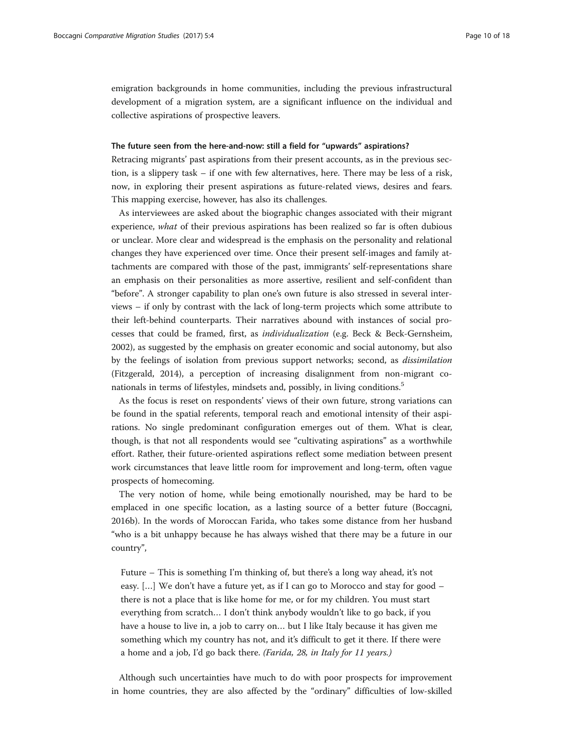emigration backgrounds in home communities, including the previous infrastructural development of a migration system, are a significant influence on the individual and collective aspirations of prospective leavers.

#### The future seen from the here-and-now: still a field for "upwards" aspirations?

Retracing migrants' past aspirations from their present accounts, as in the previous section, is a slippery task – if one with few alternatives, here. There may be less of a risk, now, in exploring their present aspirations as future-related views, desires and fears. This mapping exercise, however, has also its challenges.

As interviewees are asked about the biographic changes associated with their migrant experience, what of their previous aspirations has been realized so far is often dubious or unclear. More clear and widespread is the emphasis on the personality and relational changes they have experienced over time. Once their present self-images and family attachments are compared with those of the past, immigrants' self-representations share an emphasis on their personalities as more assertive, resilient and self-confident than "before". A stronger capability to plan one's own future is also stressed in several interviews – if only by contrast with the lack of long-term projects which some attribute to their left-behind counterparts. Their narratives abound with instances of social processes that could be framed, first, as individualization (e.g. Beck & Beck-Gernsheim, [2002](#page-16-0)), as suggested by the emphasis on greater economic and social autonomy, but also by the feelings of isolation from previous support networks; second, as dissimilation (Fitzgerald, [2014\)](#page-16-0), a perception of increasing disalignment from non-migrant conationals in terms of lifestyles, mindsets and, possibly, in living conditions.<sup>5</sup>

As the focus is reset on respondents' views of their own future, strong variations can be found in the spatial referents, temporal reach and emotional intensity of their aspirations. No single predominant configuration emerges out of them. What is clear, though, is that not all respondents would see "cultivating aspirations" as a worthwhile effort. Rather, their future-oriented aspirations reflect some mediation between present work circumstances that leave little room for improvement and long-term, often vague prospects of homecoming.

The very notion of home, while being emotionally nourished, may be hard to be emplaced in one specific location, as a lasting source of a better future (Boccagni, [2016b](#page-16-0)). In the words of Moroccan Farida, who takes some distance from her husband "who is a bit unhappy because he has always wished that there may be a future in our country",

Future – This is something I'm thinking of, but there's a long way ahead, it's not easy. […] We don't have a future yet, as if I can go to Morocco and stay for good – there is not a place that is like home for me, or for my children. You must start everything from scratch… I don't think anybody wouldn't like to go back, if you have a house to live in, a job to carry on… but I like Italy because it has given me something which my country has not, and it's difficult to get it there. If there were a home and a job, I'd go back there. (Farida, 28, in Italy for 11 years.)

Although such uncertainties have much to do with poor prospects for improvement in home countries, they are also affected by the "ordinary" difficulties of low-skilled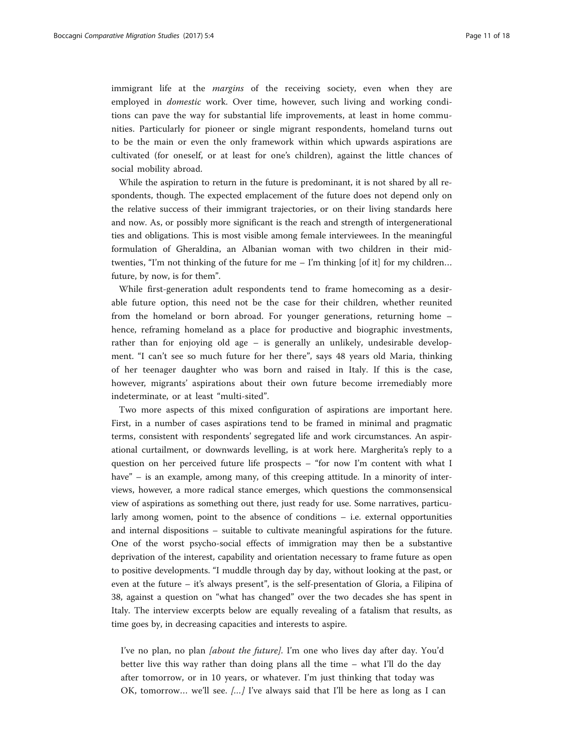immigrant life at the *margins* of the receiving society, even when they are employed in domestic work. Over time, however, such living and working conditions can pave the way for substantial life improvements, at least in home communities. Particularly for pioneer or single migrant respondents, homeland turns out to be the main or even the only framework within which upwards aspirations are cultivated (for oneself, or at least for one's children), against the little chances of social mobility abroad.

While the aspiration to return in the future is predominant, it is not shared by all respondents, though. The expected emplacement of the future does not depend only on the relative success of their immigrant trajectories, or on their living standards here and now. As, or possibly more significant is the reach and strength of intergenerational ties and obligations. This is most visible among female interviewees. In the meaningful formulation of Gheraldina, an Albanian woman with two children in their midtwenties, "I'm not thinking of the future for me – I'm thinking [of it] for my children… future, by now, is for them".

While first-generation adult respondents tend to frame homecoming as a desirable future option, this need not be the case for their children, whether reunited from the homeland or born abroad. For younger generations, returning home – hence, reframing homeland as a place for productive and biographic investments, rather than for enjoying old age – is generally an unlikely, undesirable development. "I can't see so much future for her there", says 48 years old Maria, thinking of her teenager daughter who was born and raised in Italy. If this is the case, however, migrants' aspirations about their own future become irremediably more indeterminate, or at least "multi-sited".

Two more aspects of this mixed configuration of aspirations are important here. First, in a number of cases aspirations tend to be framed in minimal and pragmatic terms, consistent with respondents' segregated life and work circumstances. An aspirational curtailment, or downwards levelling, is at work here. Margherita's reply to a question on her perceived future life prospects – "for now I'm content with what I have" – is an example, among many, of this creeping attitude. In a minority of interviews, however, a more radical stance emerges, which questions the commonsensical view of aspirations as something out there, just ready for use. Some narratives, particularly among women, point to the absence of conditions – i.e. external opportunities and internal dispositions – suitable to cultivate meaningful aspirations for the future. One of the worst psycho-social effects of immigration may then be a substantive deprivation of the interest, capability and orientation necessary to frame future as open to positive developments. "I muddle through day by day, without looking at the past, or even at the future – it's always present", is the self-presentation of Gloria, a Filipina of 38, against a question on "what has changed" over the two decades she has spent in Italy. The interview excerpts below are equally revealing of a fatalism that results, as time goes by, in decreasing capacities and interests to aspire.

I've no plan, no plan [about the future]. I'm one who lives day after day. You'd better live this way rather than doing plans all the time – what I'll do the day after tomorrow, or in 10 years, or whatever. I'm just thinking that today was OK, tomorrow… we'll see. […] I've always said that I'll be here as long as I can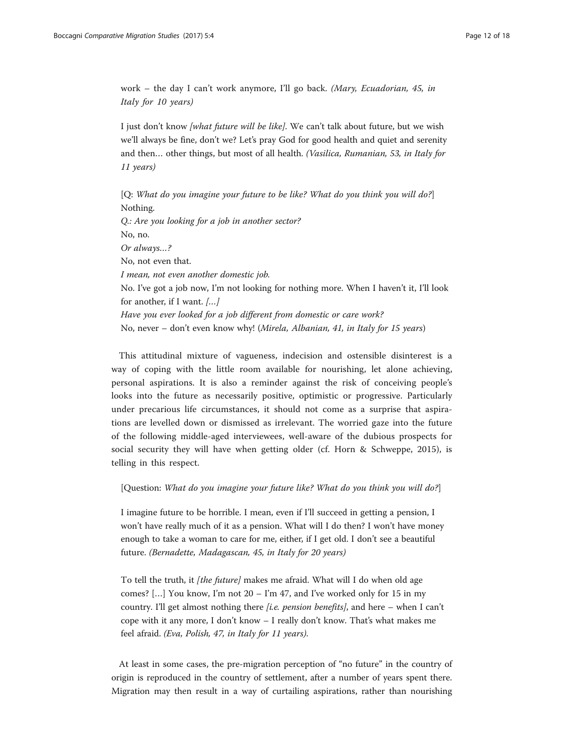work – the day I can't work anymore, I'll go back. (Mary, Ecuadorian, 45, in Italy for 10 years)

I just don't know [what future will be like]. We can't talk about future, but we wish we'll always be fine, don't we? Let's pray God for good health and quiet and serenity and then… other things, but most of all health. (Vasilica, Rumanian, 53, in Italy for 11 years)

[Q: What do you imagine your future to be like? What do you think you will do?] Nothing. Q.: Are you looking for a job in another sector? No, no. Or always…? No, not even that. I mean, not even another domestic job. No. I've got a job now, I'm not looking for nothing more. When I haven't it, I'll look for another, if I want. […] Have you ever looked for a job different from domestic or care work? No, never – don't even know why! (Mirela, Albanian, 41, in Italy for 15 years)

This attitudinal mixture of vagueness, indecision and ostensible disinterest is a way of coping with the little room available for nourishing, let alone achieving, personal aspirations. It is also a reminder against the risk of conceiving people's looks into the future as necessarily positive, optimistic or progressive. Particularly under precarious life circumstances, it should not come as a surprise that aspirations are levelled down or dismissed as irrelevant. The worried gaze into the future of the following middle-aged interviewees, well-aware of the dubious prospects for social security they will have when getting older (cf. Horn & Schweppe, [2015\)](#page-16-0), is telling in this respect.

[Question: What do you imagine your future like? What do you think you will do?]

I imagine future to be horrible. I mean, even if I'll succeed in getting a pension, I won't have really much of it as a pension. What will I do then? I won't have money enough to take a woman to care for me, either, if I get old. I don't see a beautiful future. (Bernadette, Madagascan, 45, in Italy for 20 years)

To tell the truth, it *[the future]* makes me afraid. What will I do when old age comes? […] You know, I'm not 20 – I'm 47, and I've worked only for 15 in my country. I'll get almost nothing there *[i.e. pension benefits]*, and here – when I can't cope with it any more, I don't know – I really don't know. That's what makes me feel afraid. (Eva, Polish, 47, in Italy for 11 years).

At least in some cases, the pre-migration perception of "no future" in the country of origin is reproduced in the country of settlement, after a number of years spent there. Migration may then result in a way of curtailing aspirations, rather than nourishing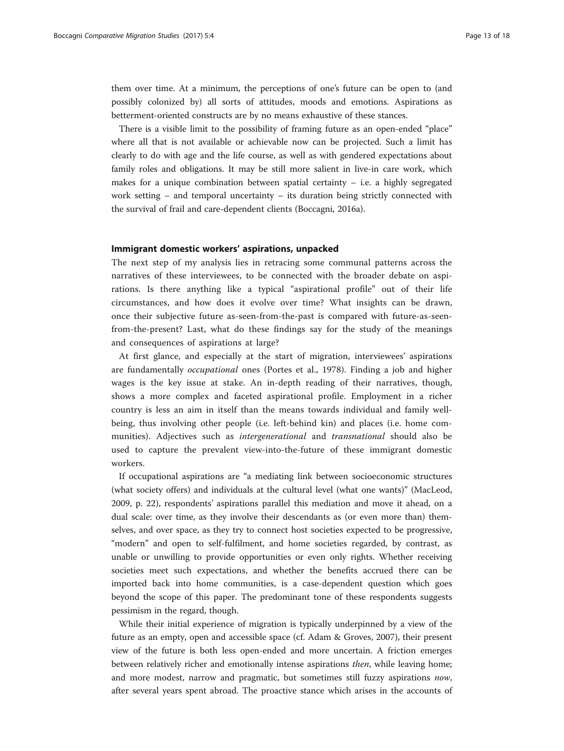them over time. At a minimum, the perceptions of one's future can be open to (and possibly colonized by) all sorts of attitudes, moods and emotions. Aspirations as betterment-oriented constructs are by no means exhaustive of these stances.

There is a visible limit to the possibility of framing future as an open-ended "place" where all that is not available or achievable now can be projected. Such a limit has clearly to do with age and the life course, as well as with gendered expectations about family roles and obligations. It may be still more salient in live-in care work, which makes for a unique combination between spatial certainty  $-$  i.e. a highly segregated work setting – and temporal uncertainty – its duration being strictly connected with the survival of frail and care-dependent clients (Boccagni, [2016a\)](#page-16-0).

### Immigrant domestic workers' aspirations, unpacked

The next step of my analysis lies in retracing some communal patterns across the narratives of these interviewees, to be connected with the broader debate on aspirations. Is there anything like a typical "aspirational profile" out of their life circumstances, and how does it evolve over time? What insights can be drawn, once their subjective future as-seen-from-the-past is compared with future-as-seenfrom-the-present? Last, what do these findings say for the study of the meanings and consequences of aspirations at large?

At first glance, and especially at the start of migration, interviewees' aspirations are fundamentally occupational ones (Portes et al., [1978](#page-17-0)). Finding a job and higher wages is the key issue at stake. An in-depth reading of their narratives, though, shows a more complex and faceted aspirational profile. Employment in a richer country is less an aim in itself than the means towards individual and family wellbeing, thus involving other people (i.e. left-behind kin) and places (i.e. home communities). Adjectives such as intergenerational and transnational should also be used to capture the prevalent view-into-the-future of these immigrant domestic workers.

If occupational aspirations are "a mediating link between socioeconomic structures (what society offers) and individuals at the cultural level (what one wants)" (MacLeod, [2009](#page-16-0), p. 22), respondents' aspirations parallel this mediation and move it ahead, on a dual scale: over time, as they involve their descendants as (or even more than) themselves, and over space, as they try to connect host societies expected to be progressive, "modern" and open to self-fulfilment, and home societies regarded, by contrast, as unable or unwilling to provide opportunities or even only rights. Whether receiving societies meet such expectations, and whether the benefits accrued there can be imported back into home communities, is a case-dependent question which goes beyond the scope of this paper. The predominant tone of these respondents suggests pessimism in the regard, though.

While their initial experience of migration is typically underpinned by a view of the future as an empty, open and accessible space (cf. Adam & Groves, [2007](#page-16-0)), their present view of the future is both less open-ended and more uncertain. A friction emerges between relatively richer and emotionally intense aspirations then, while leaving home; and more modest, narrow and pragmatic, but sometimes still fuzzy aspirations now, after several years spent abroad. The proactive stance which arises in the accounts of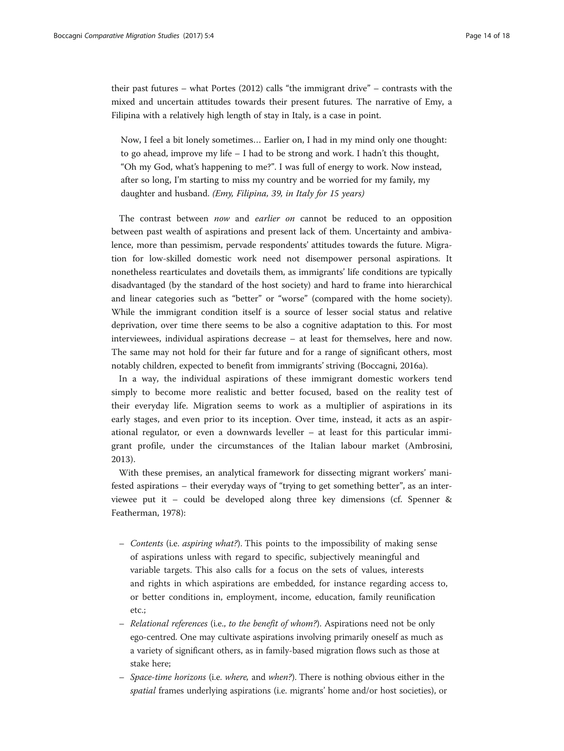their past futures – what Portes [\(2012\)](#page-17-0) calls "the immigrant drive" – contrasts with the mixed and uncertain attitudes towards their present futures. The narrative of Emy, a Filipina with a relatively high length of stay in Italy, is a case in point.

Now, I feel a bit lonely sometimes… Earlier on, I had in my mind only one thought: to go ahead, improve my life – I had to be strong and work. I hadn't this thought, "Oh my God, what's happening to me?". I was full of energy to work. Now instead, after so long, I'm starting to miss my country and be worried for my family, my daughter and husband. (Emy, Filipina, 39, in Italy for 15 years)

The contrast between *now* and *earlier on* cannot be reduced to an opposition between past wealth of aspirations and present lack of them. Uncertainty and ambivalence, more than pessimism, pervade respondents' attitudes towards the future. Migration for low-skilled domestic work need not disempower personal aspirations. It nonetheless rearticulates and dovetails them, as immigrants' life conditions are typically disadvantaged (by the standard of the host society) and hard to frame into hierarchical and linear categories such as "better" or "worse" (compared with the home society). While the immigrant condition itself is a source of lesser social status and relative deprivation, over time there seems to be also a cognitive adaptation to this. For most interviewees, individual aspirations decrease – at least for themselves, here and now. The same may not hold for their far future and for a range of significant others, most notably children, expected to benefit from immigrants' striving (Boccagni, [2016a\)](#page-16-0).

In a way, the individual aspirations of these immigrant domestic workers tend simply to become more realistic and better focused, based on the reality test of their everyday life. Migration seems to work as a multiplier of aspirations in its early stages, and even prior to its inception. Over time, instead, it acts as an aspirational regulator, or even a downwards leveller – at least for this particular immigrant profile, under the circumstances of the Italian labour market (Ambrosini, [2013\)](#page-16-0).

With these premises, an analytical framework for dissecting migrant workers' manifested aspirations – their everyday ways of "trying to get something better", as an interviewee put it – could be developed along three key dimensions (cf. Spenner & Featherman, [1978\)](#page-17-0):

- Contents (i.e. aspiring what?). This points to the impossibility of making sense of aspirations unless with regard to specific, subjectively meaningful and variable targets. This also calls for a focus on the sets of values, interests and rights in which aspirations are embedded, for instance regarding access to, or better conditions in, employment, income, education, family reunification etc.;
- Relational references (i.e., to the benefit of whom?). Aspirations need not be only ego-centred. One may cultivate aspirations involving primarily oneself as much as a variety of significant others, as in family-based migration flows such as those at stake here;
- $-$  *Space-time horizons* (i.e. *where*, and *when?*). There is nothing obvious either in the spatial frames underlying aspirations (i.e. migrants' home and/or host societies), or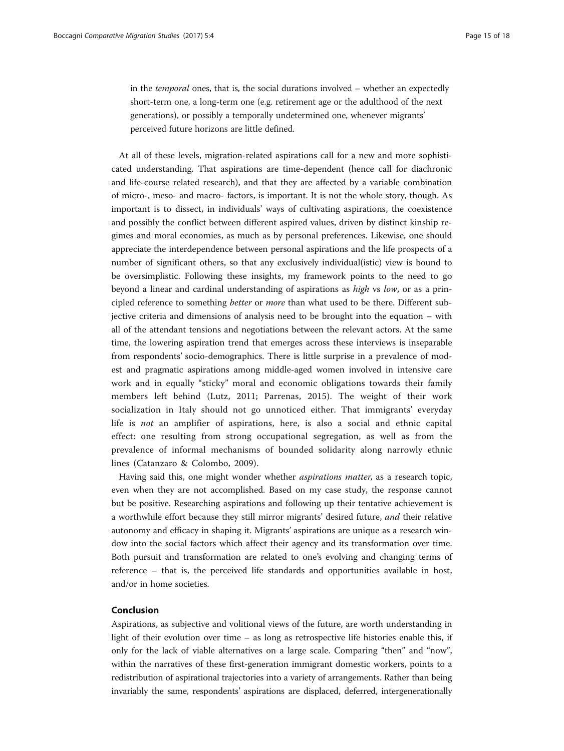in the temporal ones, that is, the social durations involved – whether an expectedly short-term one, a long-term one (e.g. retirement age or the adulthood of the next generations), or possibly a temporally undetermined one, whenever migrants' perceived future horizons are little defined.

At all of these levels, migration-related aspirations call for a new and more sophisticated understanding. That aspirations are time-dependent (hence call for diachronic and life-course related research), and that they are affected by a variable combination of micro-, meso- and macro- factors, is important. It is not the whole story, though. As important is to dissect, in individuals' ways of cultivating aspirations, the coexistence and possibly the conflict between different aspired values, driven by distinct kinship regimes and moral economies, as much as by personal preferences. Likewise, one should appreciate the interdependence between personal aspirations and the life prospects of a number of significant others, so that any exclusively individual(istic) view is bound to be oversimplistic. Following these insights, my framework points to the need to go beyond a linear and cardinal understanding of aspirations as high vs low, or as a principled reference to something *better* or *more* than what used to be there. Different subjective criteria and dimensions of analysis need to be brought into the equation – with all of the attendant tensions and negotiations between the relevant actors. At the same time, the lowering aspiration trend that emerges across these interviews is inseparable from respondents' socio-demographics. There is little surprise in a prevalence of modest and pragmatic aspirations among middle-aged women involved in intensive care work and in equally "sticky" moral and economic obligations towards their family members left behind (Lutz, [2011](#page-16-0); Parrenas, [2015](#page-17-0)). The weight of their work socialization in Italy should not go unnoticed either. That immigrants' everyday life is not an amplifier of aspirations, here, is also a social and ethnic capital effect: one resulting from strong occupational segregation, as well as from the prevalence of informal mechanisms of bounded solidarity along narrowly ethnic lines (Catanzaro & Colombo, [2009\)](#page-16-0).

Having said this, one might wonder whether *aspirations matter*, as a research topic, even when they are not accomplished. Based on my case study, the response cannot but be positive. Researching aspirations and following up their tentative achievement is a worthwhile effort because they still mirror migrants' desired future, and their relative autonomy and efficacy in shaping it. Migrants' aspirations are unique as a research window into the social factors which affect their agency and its transformation over time. Both pursuit and transformation are related to one's evolving and changing terms of reference – that is, the perceived life standards and opportunities available in host, and/or in home societies.

### Conclusion

Aspirations, as subjective and volitional views of the future, are worth understanding in light of their evolution over time – as long as retrospective life histories enable this, if only for the lack of viable alternatives on a large scale. Comparing "then" and "now", within the narratives of these first-generation immigrant domestic workers, points to a redistribution of aspirational trajectories into a variety of arrangements. Rather than being invariably the same, respondents' aspirations are displaced, deferred, intergenerationally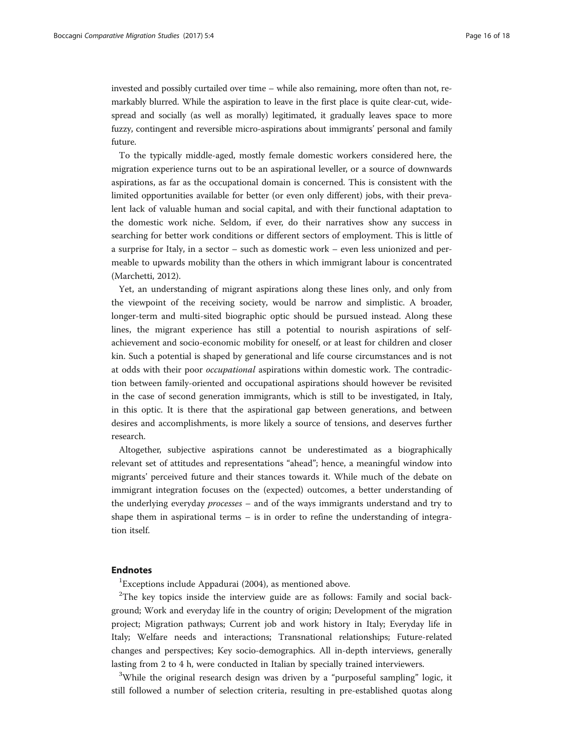invested and possibly curtailed over time – while also remaining, more often than not, remarkably blurred. While the aspiration to leave in the first place is quite clear-cut, widespread and socially (as well as morally) legitimated, it gradually leaves space to more fuzzy, contingent and reversible micro-aspirations about immigrants' personal and family future.

To the typically middle-aged, mostly female domestic workers considered here, the migration experience turns out to be an aspirational leveller, or a source of downwards aspirations, as far as the occupational domain is concerned. This is consistent with the limited opportunities available for better (or even only different) jobs, with their prevalent lack of valuable human and social capital, and with their functional adaptation to the domestic work niche. Seldom, if ever, do their narratives show any success in searching for better work conditions or different sectors of employment. This is little of a surprise for Italy, in a sector – such as domestic work – even less unionized and permeable to upwards mobility than the others in which immigrant labour is concentrated (Marchetti, [2012\)](#page-16-0).

Yet, an understanding of migrant aspirations along these lines only, and only from the viewpoint of the receiving society, would be narrow and simplistic. A broader, longer-term and multi-sited biographic optic should be pursued instead. Along these lines, the migrant experience has still a potential to nourish aspirations of selfachievement and socio-economic mobility for oneself, or at least for children and closer kin. Such a potential is shaped by generational and life course circumstances and is not at odds with their poor occupational aspirations within domestic work. The contradiction between family-oriented and occupational aspirations should however be revisited in the case of second generation immigrants, which is still to be investigated, in Italy, in this optic. It is there that the aspirational gap between generations, and between desires and accomplishments, is more likely a source of tensions, and deserves further research.

Altogether, subjective aspirations cannot be underestimated as a biographically relevant set of attitudes and representations "ahead"; hence, a meaningful window into migrants' perceived future and their stances towards it. While much of the debate on immigrant integration focuses on the (expected) outcomes, a better understanding of the underlying everyday processes – and of the ways immigrants understand and try to shape them in aspirational terms – is in order to refine the understanding of integration itself.

### Endnotes

<sup>1</sup>Exceptions include Appadurai [\(2004\)](#page-16-0), as mentioned above.

 $2$ The key topics inside the interview guide are as follows: Family and social background; Work and everyday life in the country of origin; Development of the migration project; Migration pathways; Current job and work history in Italy; Everyday life in Italy; Welfare needs and interactions; Transnational relationships; Future-related changes and perspectives; Key socio-demographics. All in-depth interviews, generally lasting from 2 to 4 h, were conducted in Italian by specially trained interviewers.

<sup>3</sup>While the original research design was driven by a "purposeful sampling" logic, it still followed a number of selection criteria, resulting in pre-established quotas along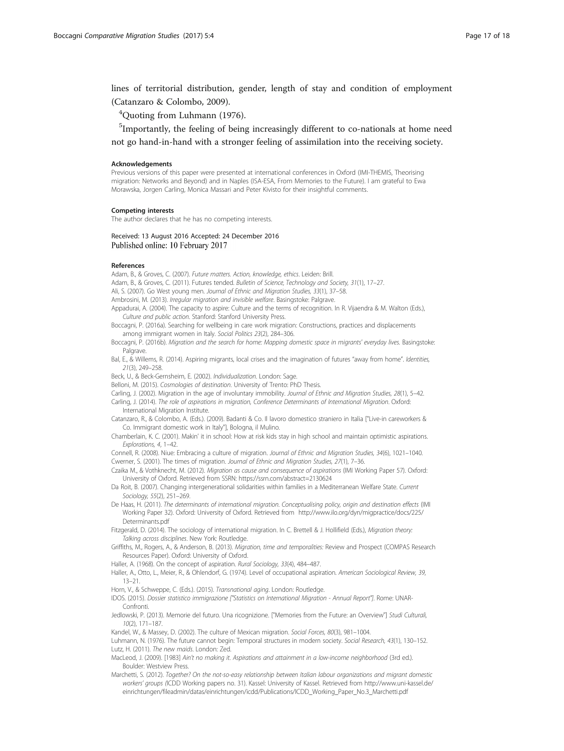<span id="page-16-0"></span>lines of territorial distribution, gender, length of stay and condition of employment (Catanzaro & Colombo, 2009).

<sup>4</sup>Quoting from Luhmann (1976).

<sup>5</sup>Importantly, the feeling of being increasingly different to co-nationals at home need not go hand-in-hand with a stronger feeling of assimilation into the receiving society.

#### **Acknowledgements**

Previous versions of this paper were presented at international conferences in Oxford (IMI-THEMIS, Theorising migration: Networks and Beyond) and in Naples (ISA-ESA, From Memories to the Future). I am grateful to Ewa Morawska, Jorgen Carling, Monica Massari and Peter Kivisto for their insightful comments.

#### Competing interests

The author declares that he has no competing interests.

Received: 13 August 2016 Accepted: 24 December 2016 Published online: 10 February 2017

#### References

Adam, B., & Groves, C. (2007). Future matters. Action, knowledge, ethics. Leiden: Brill. Adam, B., & Groves, C. (2011). Futures tended. Bulletin of Science, Technology and Society, 31(1), 17–27. Ali, S. (2007). Go West young men. Journal of Ethnic and Migration Studies, 33(1), 37–58. Ambrosini, M. (2013). Irregular migration and invisible welfare. Basingstoke: Palgrave. Appadurai, A. (2004). The capacity to aspire: Culture and the terms of recognition. In R. Vijaendra & M. Walton (Eds.), Culture and public action. Stanford: Stanford University Press. Boccagni, P. (2016a). Searching for wellbeing in care work migration: Constructions, practices and displacements among immigrant women in Italy. Social Politics 23(2), 284–306. Boccagni, P. (2016b). Migration and the search for home: Mapping domestic space in migrants' everyday lives. Basingstoke: Palgrave.

Bal, E., & Willems, R. (2014). Aspiring migrants, local crises and the imagination of futures "away from home". Identities, 21(3), 249–258.

Beck, U., & Beck-Gernsheim, E. (2002). *Individualization.* London: Sage.

Belloni, M. (2015). Cosmologies of destination. University of Trento: PhD Thesis.

- Carling, J. (2002). Migration in the age of involuntary immobility. Journal of Ethnic and Migration Studies, 28(1), 5–42.
- Carling, J. (2014). The role of aspirations in migration, Conference Determinants of International Migration. Oxford: International Migration Institute.
- Catanzaro, R., & Colombo, A. (Eds.). (2009). Badanti & Co. Il lavoro domestico straniero in Italia ["Live-in careworkers & Co. Immigrant domestic work in Italy"], Bologna, il Mulino.
- Chamberlain, K. C. (2001). Makin' it in school: How at risk kids stay in high school and maintain optimistic aspirations. Explorations, 4, 1–42.

Connell, R. (2008). Niue: Embracing a culture of migration. Journal of Ethnic and Migration Studies, 34(6), 1021–1040. Cwerner, S. (2001). The times of migration. Journal of Ethnic and Migration Studies, 27(1), 7–36.

Czaika M., & Vothknecht, M. (2012). Migration as cause and consequence of aspirations (IMI Working Paper 57). Oxford: University of Oxford. Retrieved from SSRN:<https://ssrn.com/abstract=2130624>

Da Roit, B. (2007). Changing intergenerational solidarities within families in a Mediterranean Welfare State. Current Sociology, 55(2), 251–269.

De Haas, H. (2011). The determinants of international migration. Conceptualising policy, origin and destination effects (IMI Working Paper 32). Oxford: University of Oxford. Retrieved from [http://www.ilo.org/dyn/migpractice/docs/225/](http://www.ilo.org/dyn/migpractice/docs/225/Determinants.pdf) [Determinants.pdf](http://www.ilo.org/dyn/migpractice/docs/225/Determinants.pdf)

Fitzgerald, D. (2014). The sociology of international migration. In C. Brettell & J. Hollifield (Eds.), Migration theory: Talking across disciplines. New York: Routledge.

Griffiths, M., Rogers, A., & Anderson, B. (2013). Migration, time and temporalities: Review and Prospect (COMPAS Research Resources Paper). Oxford: University of Oxford.

Haller, A. (1968). On the concept of aspiration. Rural Sociology, 33(4), 484–487.

Haller, A., Otto, L., Meier, R., & Ohlendorf, G. (1974). Level of occupational aspiration. American Sociological Review, 39, 13–21.

Horn, V., & Schweppe, C. (Eds.). (2015). Transnational aging. London: Routledge.

IDOS. (2015). Dossier statistico immigrazione ["Statistics on International Migration - Annual Report"]. Rome: UNAR-Confronti.

Jedlowski, P. (2013). Memorie del futuro. Una ricognizione. ["Memories from the Future: an Overview"] Studi Culturali, 10(2), 171–187.

Kandel, W., & Massey, D. (2002). The culture of Mexican migration. Social Forces, 80(3), 981–1004.

Luhmann, N. (1976). The future cannot begin: Temporal structures in modern society. Social Research, 43(1), 130-152. Lutz, H. (2011). The new maids. London: Zed.

MacLeod, J. (2009). [1983] Ain't no making it. Aspirations and attainment in a low-income neighborhood (3rd ed.). Boulder: Westview Press.

Marchetti, S. (2012). Together? On the not-so-easy relationship between Italian labour organizations and migrant domestic workers' groups (ICDD Working papers no. 31). Kassel: University of Kassel. Retrieved from [http://www.uni-kassel.de/](http://www.uni-kassel.de/einrichtungen/fileadmin/datas/einrichtungen/icdd/Publications/ICDD_Working_Paper_No.3_Marchetti.pdf) [einrichtungen/fileadmin/datas/einrichtungen/icdd/Publications/ICDD\\_Working\\_Paper\\_No.3\\_Marchetti.pdf](http://www.uni-kassel.de/einrichtungen/fileadmin/datas/einrichtungen/icdd/Publications/ICDD_Working_Paper_No.3_Marchetti.pdf)